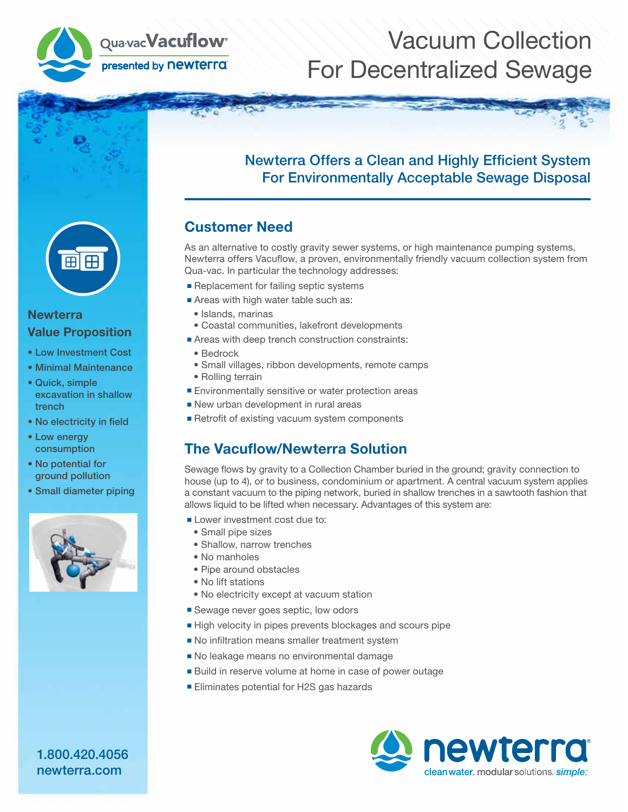

## Vacuum Collection For Decentralized Sewage



#### **Newterra** Value Proposition

- Low Investment Cost
- Minimal Maintenance
- Quick, simple excavation in shallow trench
- No electricity in field
- Low energy consumption
- No potential for ground pollution
- Small diameter piping



### Newterra Offers a Clean and Highly Efficient System For Environmentally Acceptable Sewage Disposal

### Customer Need

As an alternative to costly gravity sewer systems, or high maintenance pumping systems, Newterra offers Vacuflow, a proven, environmentally friendly vacuum collection system from Qua-vac. In particular the technology addresses:

- Replacement for failing septic systems
- Areas with high water table such as:
	- Islands, marinas
	- Coastal communities, lakefront developments
- Areas with deep trench construction constraints:
- Bedrock
- Small villages, ribbon developments, remote camps
- Rolling terrain
- Environmentally sensitive or water protection areas
- New urban development in rural areas
- Retrofit of existing vacuum system components

### The Vacuflow/Newterra Solution

Sewage flows by gravity to a Collection Chamber buried in the ground; gravity connection to house (up to 4), or to business, condominium or apartment. A central vacuum system applies a constant vacuum to the piping network, buried in shallow trenches in a sawtooth fashion that allows liquid to be lifted when necessary. Advantages of this system are:

- Lower investment cost due to:
- Small pipe sizes
- Shallow, narrow trenches
- No manholes
- Pipe around obstacles
- No lift stations
- No electricity except at vacuum station
- Sewage never goes septic, low odors
- High velocity in pipes prevents blockages and scours pipe
- No infiltration means smaller treatment system
- No leakage means no environmental damage
- Build in reserve volume at home in case of power outage
- Eliminates potential for H2S gas hazards



1.800.420.4056 newterra.com